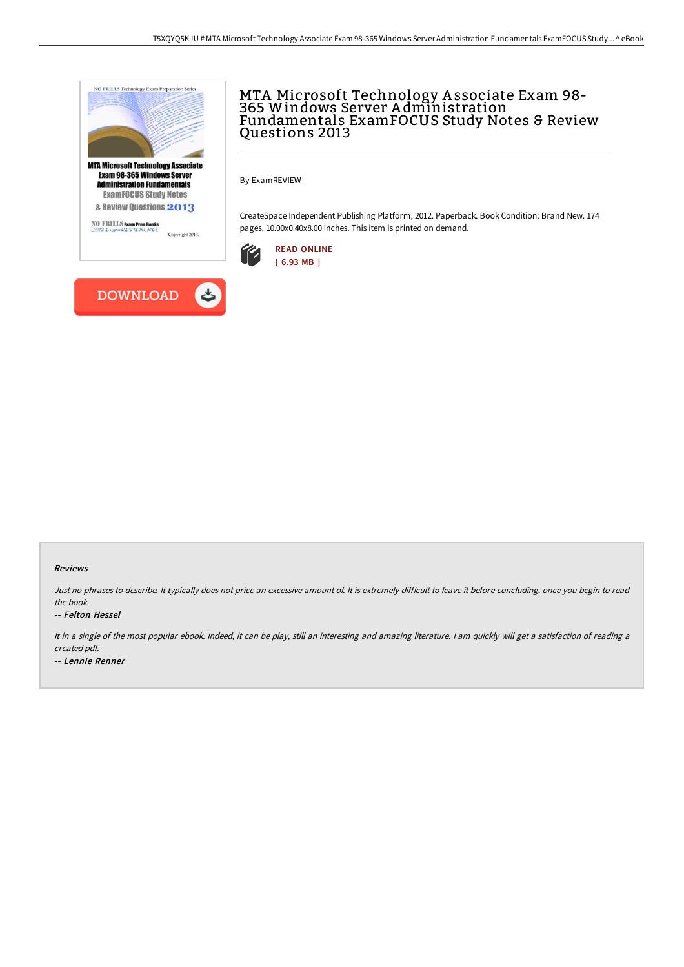

**DOWNLOAD** 

しゃ

## MTA Microsoft Technology A ssociate Exam 98- 365 Windows Server A dministration Fundamentals ExamFOCUS Study Notes & Review Questions 2013

By ExamREVIEW

CreateSpace Independent Publishing Platform, 2012. Paperback. Book Condition: Brand New. 174 pages. 10.00x0.40x8.00 inches. This item is printed on demand.



## Reviews

Just no phrases to describe. It typically does not price an excessive amount of. It is extremely difficult to leave it before concluding, once you begin to read the book.

## -- Felton Hessel

It in <sup>a</sup> single of the most popular ebook. Indeed, it can be play, still an interesting and amazing literature. <sup>I</sup> am quickly will get <sup>a</sup> satisfaction of reading <sup>a</sup> created pdf. -- Lennie Renner